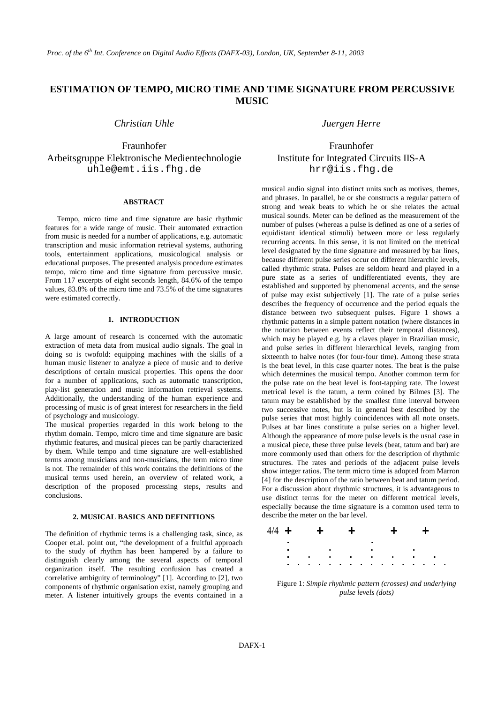# **ESTIMATION OF TEMPO, MICRO TIME AND TIME SIGNATURE FROM PERCUSSIVE MUSIC**

Fraunhofer Fraunhofer Arbeitsgruppe Elektronische Medientechnologie Institute for Integrated Circuits IIS-A uhle@emt.iis.fhg.de hrr@iis.fhg.de

## **ABSTRACT**

Tempo, micro time and time signature are basic rhythmic features for a wide range of music. Their automated extraction from music is needed for a number of applications, e.g. automatic transcription and music information retrieval systems, authoring tools, entertainment applications, musicological analysis or educational purposes. The presented analysis procedure estimates tempo, micro time and time signature from percussive music. From 117 excerpts of eight seconds length, 84.6% of the tempo values, 83.8% of the micro time and 73.5% of the time signatures were estimated correctly.

# **1. INTRODUCTION**

A large amount of research is concerned with the automatic extraction of meta data from musical audio signals. The goal in doing so is twofold: equipping machines with the skills of a human music listener to analyze a piece of music and to derive descriptions of certain musical properties. This opens the door for a number of applications, such as automatic transcription, play-list generation and music information retrieval systems. Additionally, the understanding of the human experience and processing of music is of great interest for researchers in the field of psychology and musicology.

The musical properties regarded in this work belong to the rhythm domain. Tempo, micro time and time signature are basic rhythmic features, and musical pieces can be partly characterized by them. While tempo and time signature are well-established terms among musicians and non-musicians, the term micro time is not. The remainder of this work contains the definitions of the musical terms used herein, an overview of related work, a description of the proposed processing steps, results and conclusions.

# **2. MUSICAL BASICS AND DEFINITIONS**

The definition of rhythmic terms is a challenging task, since, as Cooper et.al. point out, "the development of a fruitful approach to the study of rhythm has been hampered by a failure to distinguish clearly among the several aspects of temporal organization itself. The resulting confusion has created a correlative ambiguity of terminology" [1]. According to [2], two components of rhythmic organisation exist, namely grouping and meter. A listener intuitively groups the events contained in a

*Christian Uhle Juergen Herre* 

musical audio signal into distinct units such as motives, themes, and phrases. In parallel, he or she constructs a regular pattern of strong and weak beats to which he or she relates the actual musical sounds. Meter can be defined as the measurement of the number of pulses (whereas a pulse is defined as one of a series of equidistant identical stimuli) between more or less regularly recurring accents. In this sense, it is not limited on the metrical level designated by the time signature and measured by bar lines, because different pulse series occur on different hierarchic levels, called rhythmic strata. Pulses are seldom heard and played in a pure state as a series of undifferentiated events, they are established and supported by phenomenal accents, and the sense of pulse may exist subjectively [1]. The rate of a pulse series describes the frequency of occurrence and the period equals the distance between two subsequent pulses. Figure 1 shows a rhythmic patterns in a simple pattern notation (where distances in the notation between events reflect their temporal distances), which may be played e.g. by a claves player in Brazilian music, and pulse series in different hierarchical levels, ranging from sixteenth to halve notes (for four-four time). Among these strata is the beat level, in this case quarter notes. The beat is the pulse which determines the musical tempo. Another common term for the pulse rate on the beat level is foot-tapping rate. The lowest metrical level is the tatum, a term coined by Bilmes [3]. The tatum may be established by the smallest time interval between two successive notes, but is in general best described by the pulse series that most highly coincidences with all note onsets. Pulses at bar lines constitute a pulse series on a higher level. Although the appearance of more pulse levels is the usual case in a musical piece, these three pulse levels (beat, tatum and bar) are more commonly used than others for the description of rhythmic structures. The rates and periods of the adjacent pulse levels show integer ratios. The term micro time is adopted from Marron [4] for the description of the ratio between beat and tatum period. For a discussion about rhythmic structures, it is advantageous to use distinct terms for the meter on different metrical levels, especially because the time signature is a common used term to describe the meter on the bar level.



Figure 1: *Simple rhythmic pattern (crosses) and underlying pulse levels (dots)*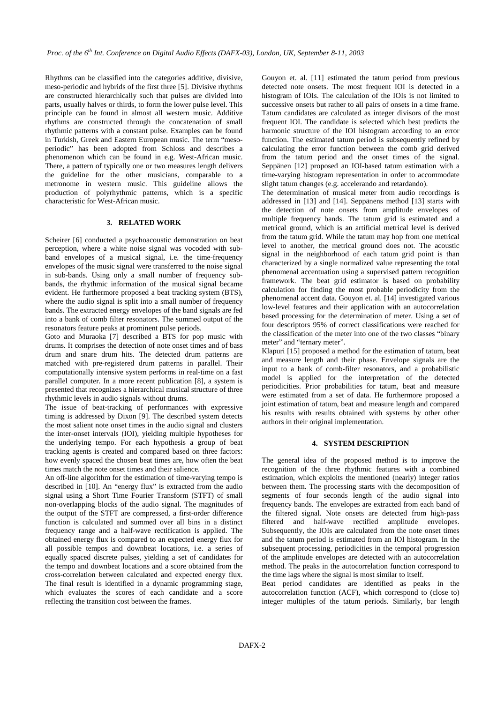Rhythms can be classified into the categories additive, divisive, meso-periodic and hybrids of the first three [5]. Divisive rhythms are constructed hierarchically such that pulses are divided into parts, usually halves or thirds, to form the lower pulse level. This principle can be found in almost all western music. Additive rhythms are constructed through the concatenation of small rhythmic patterns with a constant pulse. Examples can be found in Turkish, Greek and Eastern European music. The term "mesoperiodic" has been adopted from Schloss and describes a phenomenon which can be found in e.g. West-African music. There, a pattern of typically one or two measures length delivers the guideline for the other musicians, comparable to a metronome in western music. This guideline allows the production of polyrhythmic patterns, which is a specific characteristic for West-African music.

## **3. RELATED WORK**

Scheirer [6] conducted a psychoacoustic demonstration on beat perception, where a white noise signal was vocoded with subband envelopes of a musical signal, i.e. the time-frequency envelopes of the music signal were transferred to the noise signal in sub-bands. Using only a small number of frequency subbands, the rhythmic information of the musical signal became evident. He furthermore proposed a beat tracking system (BTS), where the audio signal is split into a small number of frequency bands. The extracted energy envelopes of the band signals are fed into a bank of comb filter resonators. The summed output of the resonators feature peaks at prominent pulse periods.

Goto and Muraoka [7] described a BTS for pop music with drums. It comprises the detection of note onset times and of bass drum and snare drum hits. The detected drum patterns are matched with pre-registered drum patterns in parallel. Their computationally intensive system performs in real-time on a fast parallel computer. In a more recent publication [8], a system is presented that recognizes a hierarchical musical structure of three rhythmic levels in audio signals without drums.

The issue of beat-tracking of performances with expressive timing is addressed by Dixon [9]. The described system detects the most salient note onset times in the audio signal and clusters the inter-onset intervals (IOI), yielding multiple hypotheses for the underlying tempo. For each hypothesis a group of beat tracking agents is created and compared based on three factors: how evenly spaced the chosen beat times are, how often the beat times match the note onset times and their salience.

An off-line algorithm for the estimation of time-varying tempo is described in [10]. An "energy flux" is extracted from the audio signal using a Short Time Fourier Transform (STFT) of small non-overlapping blocks of the audio signal. The magnitudes of the output of the STFT are compressed, a first-order difference function is calculated and summed over all bins in a distinct frequency range and a half-wave rectification is applied. The obtained energy flux is compared to an expected energy flux for all possible tempos and downbeat locations, i.e. a series of equally spaced discrete pulses, yielding a set of candidates for the tempo and downbeat locations and a score obtained from the cross-correlation between calculated and expected energy flux. The final result is identified in a dynamic programming stage, which evaluates the scores of each candidate and a score reflecting the transition cost between the frames.

Gouyon et. al. [11] estimated the tatum period from previous detected note onsets. The most frequent IOI is detected in a histogram of IOIs. The calculation of the IOIs is not limited to successive onsets but rather to all pairs of onsets in a time frame. Tatum candidates are calculated as integer divisors of the most frequent IOI. The candidate is selected which best predicts the harmonic structure of the IOI histogram according to an error function. The estimated tatum period is subsequently refined by calculating the error function between the comb grid derived from the tatum period and the onset times of the signal. Seppänen [12] proposed an IOI-based tatum estimation with a time-varying histogram representation in order to accommodate slight tatum changes (e.g. accelerando and retardando).

The determination of musical meter from audio recordings is addressed in [13] and [14]. Seppänens method [13] starts with the detection of note onsets from amplitude envelopes of multiple frequency bands. The tatum grid is estimated and a metrical ground, which is an artificial metrical level is derived from the tatum grid. While the tatum may hop from one metrical level to another, the metrical ground does not. The acoustic signal in the neighborhood of each tatum grid point is than characterized by a single normalized value representing the total phenomenal accentuation using a supervised pattern recognition framework. The beat grid estimator is based on probability calculation for finding the most probable periodicity from the phenomenal accent data. Gouyon et. al. [14] investigated various low-level features and their application with an autocorrelation based processing for the determination of meter. Using a set of four descriptors 95% of correct classifications were reached for the classification of the meter into one of the two classes "binary meter" and "ternary meter".

Klapuri [15] proposed a method for the estimation of tatum, beat and measure length and their phase. Envelope signals are the input to a bank of comb-filter resonators, and a probabilistic model is applied for the interpretation of the detected periodicities. Prior probabilities for tatum, beat and measure were estimated from a set of data. He furthermore proposed a joint estimation of tatum, beat and measure length and compared his results with results obtained with systems by other other authors in their original implementation.

# **4. SYSTEM DESCRIPTION**

The general idea of the proposed method is to improve the recognition of the three rhythmic features with a combined estimation, which exploits the mentioned (nearly) integer ratios between them. The processing starts with the decomposition of segments of four seconds length of the audio signal into frequency bands. The envelopes are extracted from each band of the filtered signal. Note onsets are detected from high-pass filtered and half-wave rectified amplitude envelopes. Subsequently, the IOIs are calculated from the note onset times and the tatum period is estimated from an IOI histogram. In the subsequent processing, periodicities in the temporal progression of the amplitude envelopes are detected with an autocorrelation method. The peaks in the autocorrelation function correspond to the time lags where the signal is most similar to itself.

Beat period candidates are identified as peaks in the autocorrelation function (ACF), which correspond to (close to) integer multiples of the tatum periods. Similarly, bar length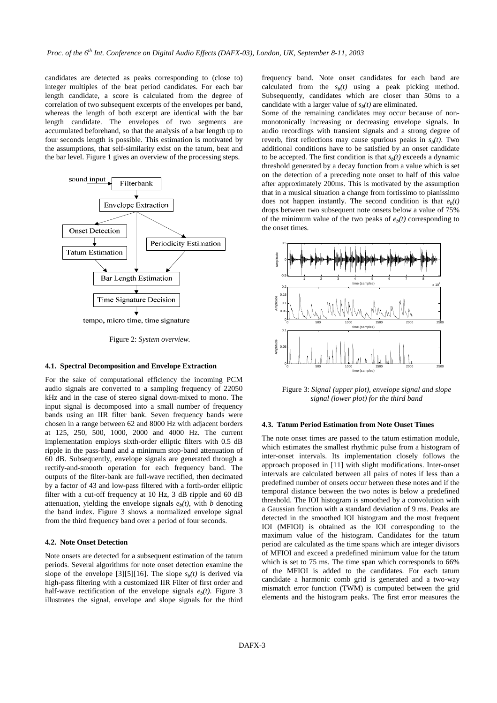candidates are detected as peaks corresponding to (close to) integer multiples of the beat period candidates. For each bar length candidate, a score is calculated from the degree of correlation of two subsequent excerpts of the envelopes per band, whereas the length of both excerpt are identical with the bar length candidate. The envelopes of two segments are accumulated beforehand, so that the analysis of a bar length up to four seconds length is possible. This estimation is motivated by the assumptions, that self-similarity exist on the tatum, beat and the bar level. Figure 1 gives an overview of the processing steps.



Figure 2: *System overview.* 

#### **4.1. Spectral Decomposition and Envelope Extraction**

For the sake of computational efficiency the incoming PCM audio signals are converted to a sampling frequency of 22050 kHz and in the case of stereo signal down-mixed to mono. The input signal is decomposed into a small number of frequency bands using an IIR filter bank. Seven frequency bands were chosen in a range between 62 and 8000 Hz with adjacent borders at 125, 250, 500, 1000, 2000 and 4000 Hz. The current implementation employs sixth-order elliptic filters with 0.5 dB ripple in the pass-band and a minimum stop-band attenuation of 60 dB. Subsequently, envelope signals are generated through a rectify-and-smooth operation for each frequency band. The outputs of the filter-bank are full-wave rectified, then decimated by a factor of 43 and low-pass filtered with a forth-order elliptic filter with a cut-off frequency at 10 Hz, 3 dB ripple and 60 dB attenuation, yielding the envelope signals  $e<sub>b</sub>(t)$ , with *b* denoting the band index. Figure 3 shows a normalized envelope signal from the third frequency band over a period of four seconds.

# **4.2. Note Onset Detection**

Note onsets are detected for a subsequent estimation of the tatum periods. Several algorithms for note onset detection examine the slope of the envelope [3][5][16]. The slope  $s<sub>b</sub>(t)$  is derived via high-pass filtering with a customized IIR Filter of first order and half-wave rectification of the envelope signals  $e<sub>b</sub>(t)$ . Figure 3 illustrates the signal, envelope and slope signals for the third

frequency band. Note onset candidates for each band are calculated from the  $s<sub>b</sub>(t)$  using a peak picking method. Subsequently, candidates which are closer than 50ms to a candidate with a larger value of  $s<sub>b</sub>(t)$  are eliminated.

Some of the remaining candidates may occur because of nonmonotonically increasing or decreasing envelope signals. In audio recordings with transient signals and a strong degree of reverb, first reflections may cause spurious peaks in  $s<sub>b</sub>(t)$ . Two additional conditions have to be satisfied by an onset candidate to be accepted. The first condition is that  $s<sub>b</sub>(t)$  exceeds a dynamic threshold generated by a decay function from a value which is set on the detection of a preceding note onset to half of this value after approximately 200ms. This is motivated by the assumption that in a musical situation a change from fortissimo to pianissimo does not happen instantly. The second condition is that  $e<sub>b</sub>(t)$ drops between two subsequent note onsets below a value of 75% of the minimum value of the two peaks of  $e<sub>b</sub>(t)$  corresponding to the onset times.



Figure 3: *Signal (upper plot), envelope signal and slope signal (lower plot) for the third band* 

#### **4.3. Tatum Period Estimation from Note Onset Times**

The note onset times are passed to the tatum estimation module, which estimates the smallest rhythmic pulse from a histogram of inter-onset intervals. Its implementation closely follows the approach proposed in [11] with slight modifications. Inter-onset intervals are calculated between all pairs of notes if less than a predefined number of onsets occur between these notes and if the temporal distance between the two notes is below a predefined threshold. The IOI histogram is smoothed by a convolution with a Gaussian function with a standard deviation of 9 ms. Peaks are detected in the smoothed IOI histogram and the most frequent IOI (MFIOI) is obtained as the IOI corresponding to the maximum value of the histogram. Candidates for the tatum period are calculated as the time spans which are integer divisors of MFIOI and exceed a predefined minimum value for the tatum which is set to 75 ms. The time span which corresponds to 66% of the MFIOI is added to the candidates. For each tatum candidate a harmonic comb grid is generated and a two-way mismatch error function (TWM) is computed between the grid elements and the histogram peaks. The first error measures the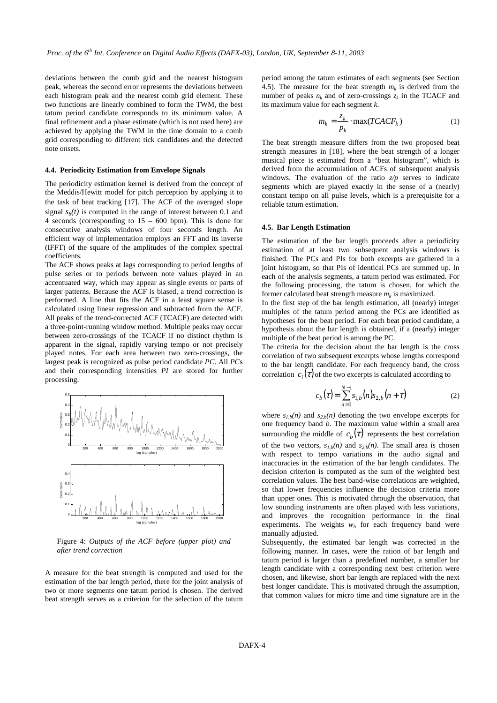deviations between the comb grid and the nearest histogram peak, whereas the second error represents the deviations between each histogram peak and the nearest comb grid element. These two functions are linearly combined to form the TWM, the best tatum period candidate corresponds to its minimum value. A final refinement and a phase estimate (which is not used here) are achieved by applying the TWM in the time domain to a comb grid corresponding to different tick candidates and the detected note onsets.

#### **4.4. Periodicity Estimation from Envelope Signals**

The periodicity estimation kernel is derived from the concept of the Meddis/Hewitt model for pitch perception by applying it to the task of beat tracking [17]. The ACF of the averaged slope signal  $s<sub>b</sub>(t)$  is computed in the range of interest between 0.1 and 4 seconds (corresponding to 15 – 600 bpm). This is done for consecutive analysis windows of four seconds length. An efficient way of implementation employs an FFT and its inverse (IFFT) of the square of the amplitudes of the complex spectral coefficients.

The ACF shows peaks at lags corresponding to period lengths of pulse series or to periods between note values played in an accentuated way, which may appear as single events or parts of larger patterns. Because the ACF is biased, a trend correction is performed. A line that fits the ACF in a least square sense is calculated using linear regression and subtracted from the ACF. All peaks of the trend-corrected ACF (TCACF) are detected with a three-point-running window method. Multiple peaks may occur between zero-crossings of the TCACF if no distinct rhythm is apparent in the signal, rapidly varying tempo or not precisely played notes. For each area between two zero-crossings, the largest peak is recognized as pulse period candidate *PC*. All *PC*s and their corresponding intensities *PI* are stored for further processing.



Figure 4: *Outputs of the ACF before (upper plot) and after trend correction*

A measure for the beat strength is computed and used for the estimation of the bar length period, there for the joint analysis of two or more segments one tatum period is chosen. The derived beat strength serves as a criterion for the selection of the tatum period among the tatum estimates of each segments (see Section 4.5). The measure for the beat strength  $m_k$  is derived from the number of peaks  $n_k$  and of zero-crossings  $z_k$  in the TCACF and its maximum value for each segment *k*.

$$
m_k = \frac{z_k}{p_k} \cdot \max(TCACF_k)
$$
 (1)

The beat strength measure differs from the two proposed beat strength measures in [18], where the beat strength of a longer musical piece is estimated from a "beat histogram", which is derived from the accumulation of ACFs of subsequent analysis windows. The evaluation of the ratio  $z/p$  serves to indicate segments which are played exactly in the sense of a (nearly) constant tempo on all pulse levels, which is a prerequisite for a reliable tatum estimation.

### **4.5. Bar Length Estimation**

The estimation of the bar length proceeds after a periodicity estimation of at least two subsequent analysis windows is finished. The PCs and PIs for both excerpts are gathered in a joint histogram, so that PIs of identical PCs are summed up. In each of the analysis segments, a tatum period was estimated. For the following processing, the tatum is chosen, for which the former calculated beat strength measure  $m_k$  is maximized.

In the first step of the bar length estimation, all (nearly) integer multiples of the tatum period among the PCs are identified as hypotheses for the beat period. For each beat period candidate, a hypothesis about the bar length is obtained, if a (nearly) integer multiple of the beat period is among the PC.

The criteria for the decision about the bar length is the cross correlation of two subsequent excerpts whose lengths correspond to the bar length candidate. For each frequency band, the cross correlation  $c_i(\tau)$  of the two excerpts is calculated according to

$$
c_b(\tau) = \sum_{n=0}^{N-1} s_{1,b}(n) s_{2,b}(n+\tau)
$$
 (2)

where  $s_{1h}(n)$  and  $s_{2h}(n)$  denoting the two envelope excerpts for one frequency band *b*. The maximum value within a small area surrounding the middle of  $c<sub>b</sub>(\tau)$  represents the best correlation of the two vectors,  $s_{1b}(n)$  and  $s_{2b}(n)$ . The small area is chosen with respect to tempo variations in the audio signal and inaccuracies in the estimation of the bar length candidates. The decision criterion is computed as the sum of the weighted best correlation values. The best band-wise correlations are weighted, so that lower frequencies influence the decision criteria more than upper ones. This is motivated through the observation, that low sounding instruments are often played with less variations, and improves the recognition performance in the final experiments. The weights  $w<sub>b</sub>$  for each frequency band were manually adjusted.

Subsequently, the estimated bar length was corrected in the following manner. In cases, were the ration of bar length and tatum period is larger than a predefined number, a smaller bar length candidate with a corresponding next best criterion were chosen, and likewise, short bar length are replaced with the next best longer candidate. This is motivated through the assumption, that common values for micro time and time signature are in the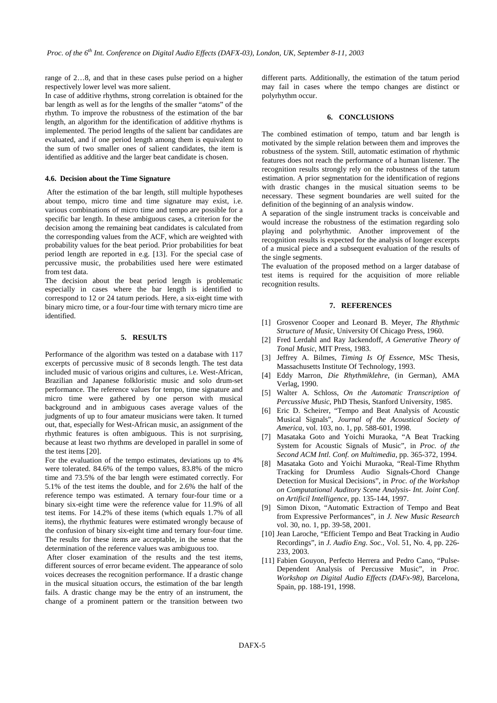range of 2…8, and that in these cases pulse period on a higher respectively lower level was more salient.

In case of additive rhythms, strong correlation is obtained for the bar length as well as for the lengths of the smaller "atoms" of the rhythm. To improve the robustness of the estimation of the bar length, an algorithm for the identification of additive rhythms is implemented. The period lengths of the salient bar candidates are evaluated, and if one period length among them is equivalent to the sum of two smaller ones of salient candidates, the item is identified as additive and the larger beat candidate is chosen.

## **4.6. Decision about the Time Signature**

 After the estimation of the bar length, still multiple hypotheses about tempo, micro time and time signature may exist, i.e. various combinations of micro time and tempo are possible for a specific bar length. In these ambiguous cases, a criterion for the decision among the remaining beat candidates is calculated from the corresponding values from the ACF, which are weighted with probability values for the beat period. Prior probabilities for beat period length are reported in e.g. [13]. For the special case of percussive music, the probabilities used here were estimated from test data.

The decision about the beat period length is problematic especially in cases where the bar length is identified to correspond to 12 or 24 tatum periods. Here, a six-eight time with binary micro time, or a four-four time with ternary micro time are identified.

## **5. RESULTS**

Performance of the algorithm was tested on a database with 117 excerpts of percussive music of 8 seconds length. The test data included music of various origins and cultures, i.e. West-African, Brazilian and Japanese folkloristic music and solo drum-set performance. The reference values for tempo, time signature and micro time were gathered by one person with musical background and in ambiguous cases average values of the judgments of up to four amateur musicians were taken. It turned out, that, especially for West-African music, an assignment of the rhythmic features is often ambiguous. This is not surprising, because at least two rhythms are developed in parallel in some of the test items [20].

For the evaluation of the tempo estimates, deviations up to 4% were tolerated. 84.6% of the tempo values, 83.8% of the micro time and 73.5% of the bar length were estimated correctly. For 5.1% of the test items the double, and for 2.6% the half of the reference tempo was estimated. A ternary four-four time or a binary six-eight time were the reference value for 11.9% of all test items. For 14.2% of these items (which equals 1.7% of all items), the rhythmic features were estimated wrongly because of the confusion of binary six-eight time and ternary four-four time. The results for these items are acceptable, in the sense that the determination of the reference values was ambiguous too.

 After closer examination of the results and the test items, different sources of error became evident. The appearance of solo voices decreases the recognition performance. If a drastic change in the musical situation occurs, the estimation of the bar length fails. A drastic change may be the entry of an instrument, the change of a prominent pattern or the transition between two

different parts. Additionally, the estimation of the tatum period may fail in cases where the tempo changes are distinct or polyrhythm occur.

## **6. CONCLUSIONS**

The combined estimation of tempo, tatum and bar length is motivated by the simple relation between them and improves the robustness of the system. Still, automatic estimation of rhythmic features does not reach the performance of a human listener. The recognition results strongly rely on the robustness of the tatum estimation. A prior segmentation for the identification of regions with drastic changes in the musical situation seems to be necessary. These segment boundaries are well suited for the definition of the beginning of an analysis window.

A separation of the single instrument tracks is conceivable and would increase the robustness of the estimation regarding solo playing and polyrhythmic. Another improvement of the recognition results is expected for the analysis of longer excerpts of a musical piece and a subsequent evaluation of the results of the single segments.

The evaluation of the proposed method on a larger database of test items is required for the acquisition of more reliable recognition results.

## **7. REFERENCES**

- [1] Grosvenor Cooper and Leonard B. Meyer, *The Rhythmic Structure of Music*, University Of Chicago Press, 1960.
- [2] Fred Lerdahl and Ray Jackendoff, *A Generative Theory of Tonal Music*, MIT Press, 1983.
- [3] Jeffrey A. Bilmes, *Timing Is Of Essence*, MSc Thesis, Massachusetts Institute Of Technology, 1993.
- [4] Eddy Marron, *Die Rhythmiklehre*, (in German), AMA Verlag, 1990.
- [5] Walter A. Schloss, *On the Automatic Transcription of Percussive Music*, PhD Thesis, Stanford University, 1985.
- [6] Eric D. Scheirer, "Tempo and Beat Analysis of Acoustic Musical Signals", *Journal of the Acoustical Society of America*, vol. 103, no. 1, pp. 588-601, 1998.
- [7] Masataka Goto and Yoichi Muraoka, "A Beat Tracking System for Acoustic Signals of Music", in *Proc. of the Second ACM Intl. Conf. on Multimedia*, pp. 365-372, 1994.
- [8] Masataka Goto and Yoichi Muraoka, "Real-Time Rhythm Tracking for Drumless Audio Signals-Chord Change Detection for Musical Decisions", in *Proc. of the Workshop on Computational Auditory Scene Analysis- Int. Joint Conf. on Artificil Intelligence*, pp. 135-144, 1997.
- [9] Simon Dixon, "Automatic Extraction of Tempo and Beat from Expressive Performances", in *J. New Music Research*  vol. 30, no. 1, pp. 39-58, 2001.
- [10] Jean Laroche, "Efficient Tempo and Beat Tracking in Audio Recordings", in *J. Audio Eng. Soc.*, Vol. 51, No. 4, pp. 226- 233, 2003.
- [11] Fabien Gouyon, Perfecto Herrera and Pedro Cano, "Pulse-Dependent Analysis of Percussive Music", in *Proc. Workshop on Digital Audio Effects (DAFx-98)*, Barcelona, Spain, pp. 188-191, 1998.